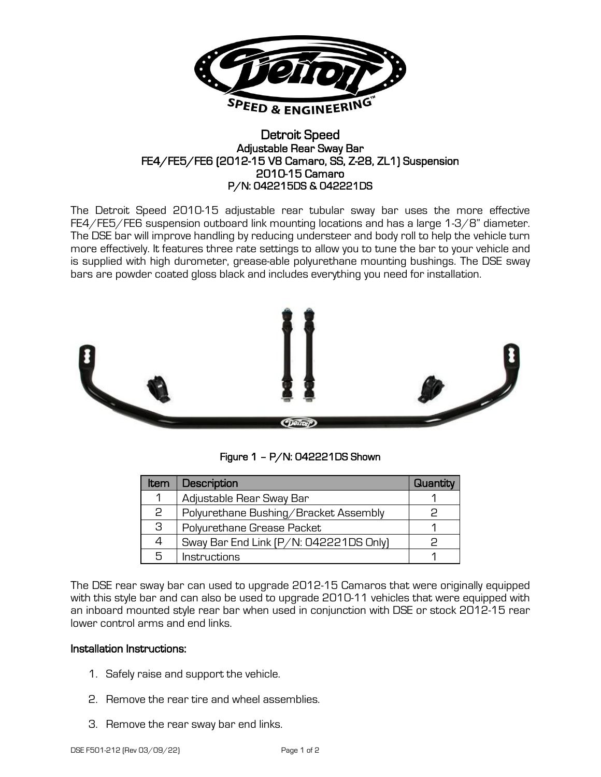

## Detroit Speed Adjustable Rear Sway Bar FE4/FE5/FE6 (2012-15 V8 Camaro, SS, Z-28, ZL1) Suspension 2010-15 Camaro P/N: 042215DS & 042221DS

The Detroit Speed 2010-15 adjustable rear tubular sway bar uses the more effective FE4/FE5/FE6 suspension outboard link mounting locations and has a large 1-3/8" diameter. The DSE bar will improve handling by reducing understeer and body roll to help the vehicle turn more effectively. It features three rate settings to allow you to tune the bar to your vehicle and is supplied with high durometer, grease-able polyurethane mounting bushings. The DSE sway bars are powder coated gloss black and includes everything you need for installation.



Figure 1 – P/N: 042221DS Shown

| <b>Item</b> | Description                            | Quantity |
|-------------|----------------------------------------|----------|
|             | Adjustable Rear Sway Bar               |          |
| 2           | Polyurethane Bushing/Bracket Assembly  |          |
| З           | Polyurethane Grease Packet             |          |
|             | Sway Bar End Link (P/N: 042221DS Only) |          |
| 5           | <b>Instructions</b>                    |          |

The DSE rear sway bar can used to upgrade 2012-15 Camaros that were originally equipped with this style bar and can also be used to upgrade 2010-11 vehicles that were equipped with an inboard mounted style rear bar when used in conjunction with DSE or stock 2012-15 rear lower control arms and end links.

## Installation Instructions:

- 1. Safely raise and support the vehicle.
- 2. Remove the rear tire and wheel assemblies.
- 3. Remove the rear sway bar end links.